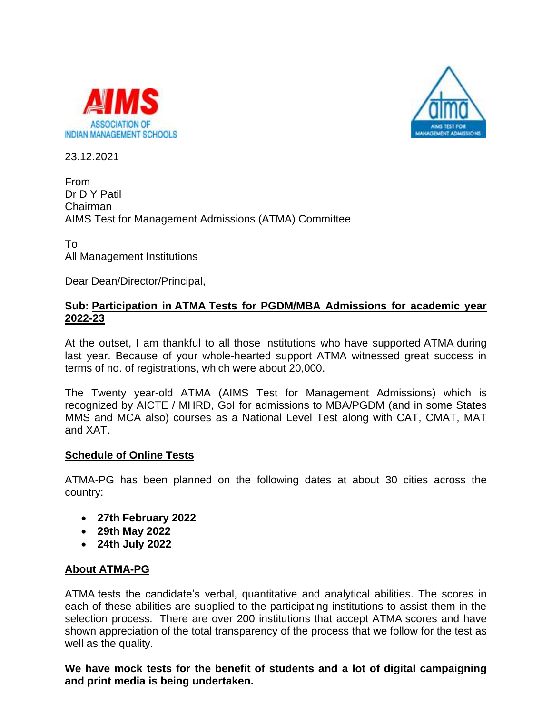



23.12.2021

From Dr D Y Patil Chairman AIMS Test for Management Admissions (ATMA) Committee

To All Management Institutions

Dear Dean/Director/Principal,

## **Sub: Participation in ATMA Tests for PGDM/MBA Admissions for academic year 2022-23**

At the outset, I am thankful to all those institutions who have supported ATMA during last year. Because of your whole-hearted support ATMA witnessed great success in terms of no. of registrations, which were about 20,000.

The Twenty year-old ATMA (AIMS Test for Management Admissions) which is recognized by AICTE / MHRD, GoI for admissions to MBA/PGDM (and in some States MMS and MCA also) courses as a National Level Test along with CAT, CMAT, MAT and XAT.

## **Schedule of Online Tests**

ATMA-PG has been planned on the following dates at about 30 cities across the country:

- **27th February 2022**
- **29th May 2022**
- **24th July 2022**

## **About ATMA-PG**

ATMA tests the candidate's verbal, quantitative and analytical abilities. The scores in each of these abilities are supplied to the participating institutions to assist them in the selection process. There are over 200 institutions that accept ATMA scores and have shown appreciation of the total transparency of the process that we follow for the test as well as the quality.

**We have mock tests for the benefit of students and a lot of digital campaigning and print media is being undertaken.**